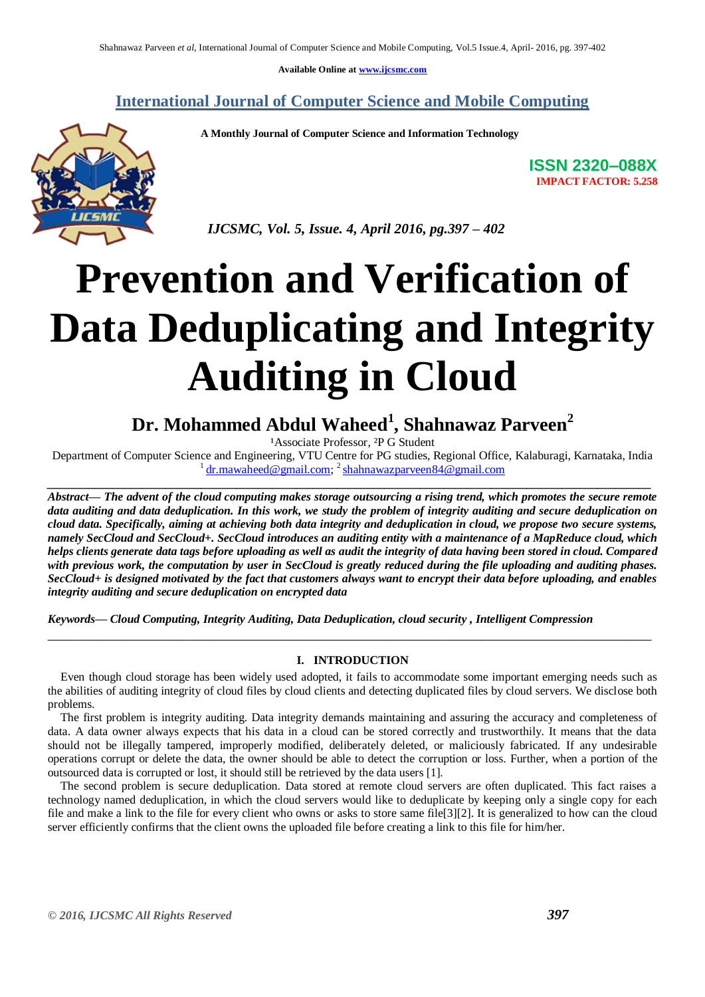**Available Online at [www.ijcsmc.com](http://www.ijcsmc.com/)**

**International Journal of Computer Science and Mobile Computing**

 **A Monthly Journal of Computer Science and Information Technology**



**ISSN 2320–088X IMPACT FACTOR: 5.258**

 *IJCSMC, Vol. 5, Issue. 4, April 2016, pg.397 – 402*

# **Prevention and Verification of Data Deduplicating and Integrity Auditing in Cloud**

**Dr. Mohammed Abdul Waheed<sup>1</sup> , Shahnawaz Parveen<sup>2</sup>**

<sup>1</sup>Associate Professor, <sup>2</sup>P G Student

Department of Computer Science and Engineering, VTU Centre for PG studies, Regional Office, Kalaburagi, Karnataka, India <sup>1</sup> [dr.mawaheed@gmail.com;](mailto:dr.mawaheed@gmail.com) <sup>2</sup> [shahnawazparveen84@gmail.com](mailto:shahnawazparveen84@gmail.com) *\_\_\_\_\_\_\_\_\_\_\_\_\_\_\_\_\_\_\_\_\_\_\_\_\_\_\_\_\_\_\_\_\_\_\_\_\_\_\_\_\_\_\_\_\_\_\_\_\_\_\_\_\_\_\_\_\_\_\_\_\_\_\_\_\_\_\_\_\_\_\_\_\_\_\_\_\_\_\_\_\_\_\_\_\_\_\_\_\_\_\_\_\_\_\_\_\_\_\_\_\_\_*

*Abstract— The advent of the cloud computing makes storage outsourcing a rising trend, which promotes the secure remote data auditing and data deduplication. In this work, we study the problem of integrity auditing and secure deduplication on cloud data. Specifically, aiming at achieving both data integrity and deduplication in cloud, we propose two secure systems, namely SecCloud and SecCloud+. SecCloud introduces an auditing entity with a maintenance of a MapReduce cloud, which helps clients generate data tags before uploading as well as audit the integrity of data having been stored in cloud. Compared with previous work, the computation by user in SecCloud is greatly reduced during the file uploading and auditing phases. SecCloud+ is designed motivated by the fact that customers always want to encrypt their data before uploading, and enables integrity auditing and secure deduplication on encrypted data*

*Keywords— Cloud Computing, Integrity Auditing, Data Deduplication, cloud security , Intelligent Compression*

# **I. INTRODUCTION**

\_\_\_\_\_\_\_\_\_\_\_\_\_\_\_\_\_\_\_\_\_\_\_\_\_\_\_\_\_\_\_\_\_\_\_\_\_\_\_\_\_\_\_\_\_\_\_\_\_\_\_\_\_\_\_\_\_\_\_\_\_\_\_\_\_\_\_\_\_\_\_\_\_\_\_\_\_\_\_\_\_\_\_\_\_

Even though cloud storage has been widely used adopted, it fails to accommodate some important emerging needs such as the abilities of auditing integrity of cloud files by cloud clients and detecting duplicated files by cloud servers. We disclose both problems.

The first problem is integrity auditing. Data integrity demands maintaining and assuring the accuracy and completeness of data. A data owner always expects that his data in a cloud can be stored correctly and trustworthily. It means that the data should not be illegally tampered, improperly modified, deliberately deleted, or maliciously fabricated. If any undesirable operations corrupt or delete the data, the owner should be able to detect the corruption or loss. Further, when a portion of the outsourced data is corrupted or lost, it should still be retrieved by the data users [1].

The second problem is secure deduplication. Data stored at remote cloud servers are often duplicated. This fact raises a technology named deduplication, in which the cloud servers would like to deduplicate by keeping only a single copy for each file and make a link to the file for every client who owns or asks to store same file[3][2]. It is generalized to how can the cloud server efficiently confirms that the client owns the uploaded file before creating a link to this file for him/her.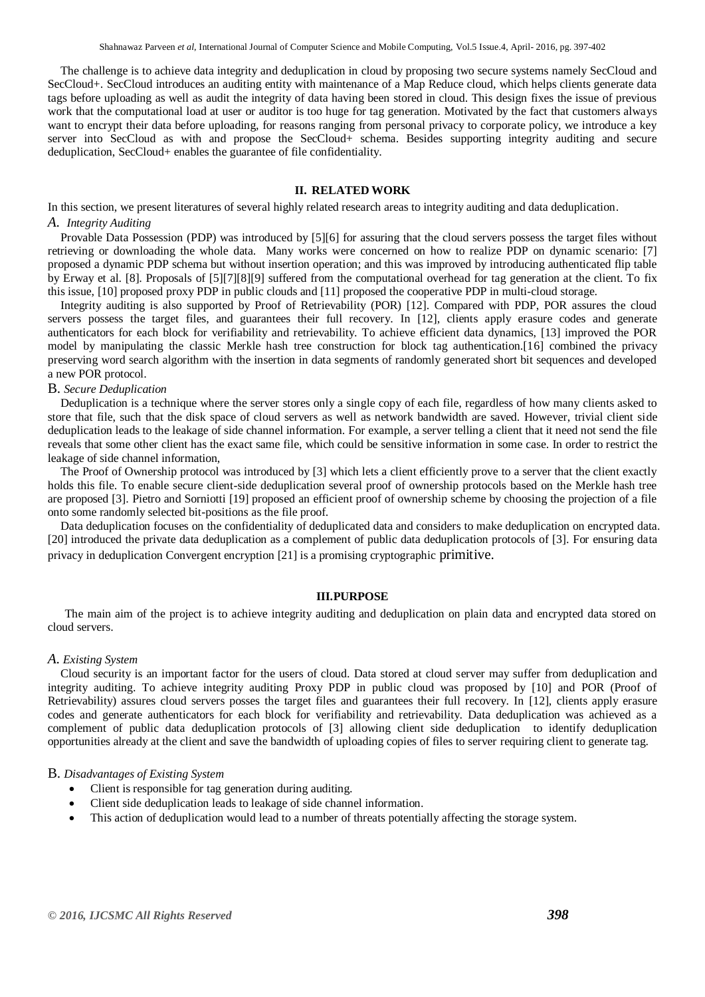The challenge is to achieve data integrity and deduplication in cloud by proposing two secure systems namely SecCloud and SecCloud+. SecCloud introduces an auditing entity with maintenance of a Map Reduce cloud, which helps clients generate data tags before uploading as well as audit the integrity of data having been stored in cloud. This design fixes the issue of previous work that the computational load at user or auditor is too huge for tag generation. Motivated by the fact that customers always want to encrypt their data before uploading, for reasons ranging from personal privacy to corporate policy, we introduce a key server into SecCloud as with and propose the SecCloud+ schema. Besides supporting integrity auditing and secure deduplication, SecCloud+ enables the guarantee of file confidentiality.

# **II. RELATED WORK**

In this section, we present literatures of several highly related research areas to integrity auditing and data deduplication. *A. Integrity Auditing*

Provable Data Possession (PDP) was introduced by [5][6] for assuring that the cloud servers possess the target files without retrieving or downloading the whole data. Many works were concerned on how to realize PDP on dynamic scenario: [7] proposed a dynamic PDP schema but without insertion operation; and this was improved by introducing authenticated flip table by Erway et al. [8]. Proposals of [5][7][8][9] suffered from the computational overhead for tag generation at the client. To fix this issue, [10] proposed proxy PDP in public clouds and [11] proposed the cooperative PDP in multi-cloud storage.

Integrity auditing is also supported by Proof of Retrievability (POR) [12]. Compared with PDP, POR assures the cloud servers possess the target files, and guarantees their full recovery. In [12], clients apply erasure codes and generate authenticators for each block for verifiability and retrievability. To achieve efficient data dynamics, [13] improved the POR model by manipulating the classic Merkle hash tree construction for block tag authentication.[16] combined the privacy preserving word search algorithm with the insertion in data segments of randomly generated short bit sequences and developed a new POR protocol.

### B. *Secure Deduplication*

Deduplication is a technique where the server stores only a single copy of each file, regardless of how many clients asked to store that file, such that the disk space of cloud servers as well as network bandwidth are saved. However, trivial client side deduplication leads to the leakage of side channel information. For example, a server telling a client that it need not send the file reveals that some other client has the exact same file, which could be sensitive information in some case. In order to restrict the leakage of side channel information,

The Proof of Ownership protocol was introduced by [3] which lets a client efficiently prove to a server that the client exactly holds this file. To enable secure client-side deduplication several proof of ownership protocols based on the Merkle hash tree are proposed [3]. Pietro and Sorniotti [19] proposed an efficient proof of ownership scheme by choosing the projection of a file onto some randomly selected bit-positions as the file proof.

Data deduplication focuses on the confidentiality of deduplicated data and considers to make deduplication on encrypted data. [20] introduced the private data deduplication as a complement of public data deduplication protocols of [3]. For ensuring data privacy in deduplication Convergent encryption [21] is a promising cryptographic primitive.

#### **III.PURPOSE**

The main aim of the project is to achieve integrity auditing and deduplication on plain data and encrypted data stored on cloud servers.

### *A. Existing System*

Cloud security is an important factor for the users of cloud. Data stored at cloud server may suffer from deduplication and integrity auditing. To achieve integrity auditing Proxy PDP in public cloud was proposed by [10] and POR (Proof of Retrievability) assures cloud servers posses the target files and guarantees their full recovery. In [12], clients apply erasure codes and generate authenticators for each block for verifiability and retrievability. Data deduplication was achieved as a complement of public data deduplication protocols of [3] allowing client side deduplication to identify deduplication opportunities already at the client and save the bandwidth of uploading copies of files to server requiring client to generate tag.

## B. *Disadvantages of Existing System*

- Client is responsible for tag generation during auditing.
- Client side deduplication leads to leakage of side channel information.
- This action of deduplication would lead to a number of threats potentially affecting the storage system.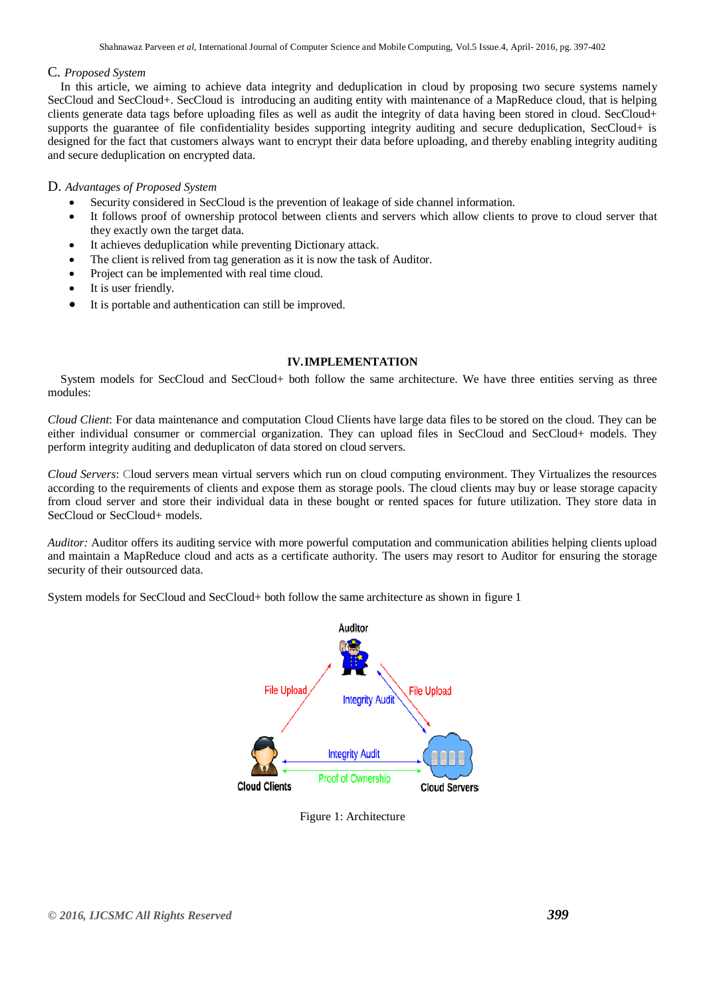## C. *Proposed System*

In this article, we aiming to achieve data integrity and deduplication in cloud by proposing two secure systems namely SecCloud and SecCloud+. SecCloud is introducing an auditing entity with maintenance of a MapReduce cloud, that is helping clients generate data tags before uploading files as well as audit the integrity of data having been stored in cloud. SecCloud+ supports the guarantee of file confidentiality besides supporting integrity auditing and secure deduplication, SecCloud+ is designed for the fact that customers always want to encrypt their data before uploading, and thereby enabling integrity auditing and secure deduplication on encrypted data.

## D. *Advantages of Proposed System*

- Security considered in SecCloud is the prevention of leakage of side channel information.
- It follows proof of ownership protocol between clients and servers which allow clients to prove to cloud server that they exactly own the target data.
- It achieves deduplication while preventing Dictionary attack.
- The client is relived from tag generation as it is now the task of Auditor.
- Project can be implemented with real time cloud.
- It is user friendly.
- It is portable and authentication can still be improved.

## **IV.IMPLEMENTATION**

System models for SecCloud and SecCloud+ both follow the same architecture. We have three entities serving as three modules:

*Cloud Client*: For data maintenance and computation Cloud Clients have large data files to be stored on the cloud. They can be either individual consumer or commercial organization. They can upload files in SecCloud and SecCloud+ models. They perform integrity auditing and deduplicaton of data stored on cloud servers.

*Cloud Servers*: Cloud servers mean virtual servers which run on cloud computing environment. They Virtualizes the resources according to the requirements of clients and expose them as storage pools. The cloud clients may buy or lease storage capacity from cloud server and store their individual data in these bought or rented spaces for future utilization. They store data in SecCloud or SecCloud+ models.

*Auditor:* Auditor offers its auditing service with more powerful computation and communication abilities helping clients upload and maintain a MapReduce cloud and acts as a certificate authority. The users may resort to Auditor for ensuring the storage security of their outsourced data.

System models for SecCloud and SecCloud+ both follow the same architecture as shown in figure 1



Figure 1: Architecture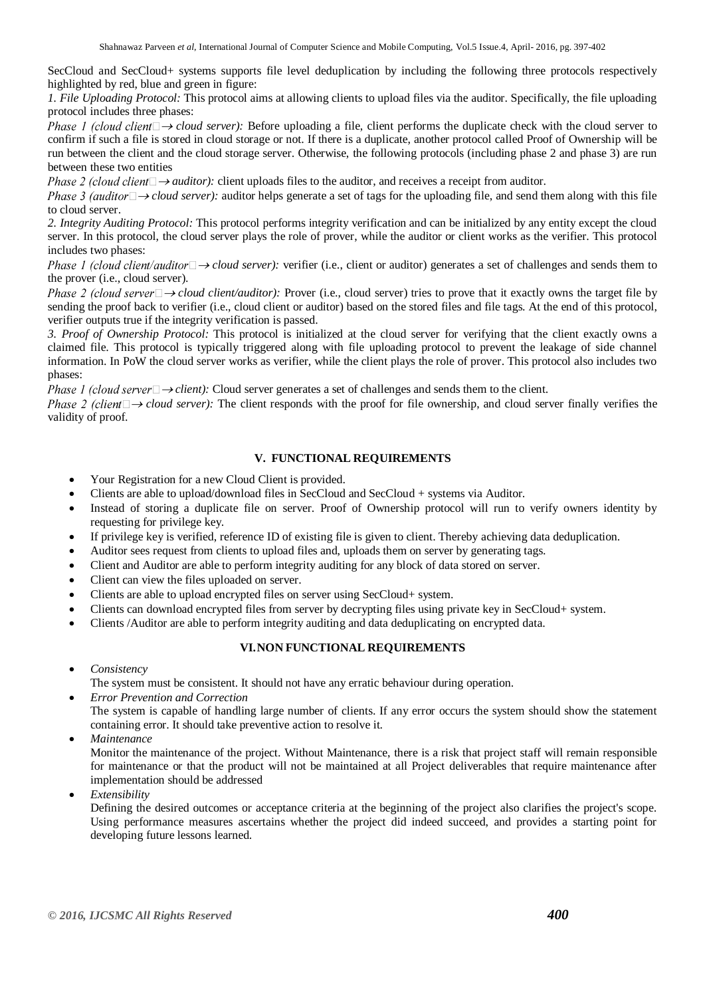SecCloud and SecCloud+ systems supports file level deduplication by including the following three protocols respectively highlighted by red, blue and green in figure:

*1. File Uploading Protocol:* This protocol aims at allowing clients to upload files via the auditor. Specifically, the file uploading protocol includes three phases:

*Phase 1 (cloud client* $\Box \rightarrow$ *cloud server):* Before uploading a file, client performs the duplicate check with the cloud server to confirm if such a file is stored in cloud storage or not. If there is a duplicate, another protocol called Proof of Ownership will be run between the client and the cloud storage server. Otherwise, the following protocols (including phase 2 and phase 3) are run between these two entities

*Phase 2 (cloud client*  $\Box \rightarrow$  *auditor*): client uploads files to the auditor, and receives a receipt from auditor.

*Phase 3 (auditor*  $\rightarrow$  *cloud server):* auditor helps generate a set of tags for the uploading file, and send them along with this file to cloud server.

*2. Integrity Auditing Protocol:* This protocol performs integrity verification and can be initialized by any entity except the cloud server. In this protocol, the cloud server plays the role of prover, while the auditor or client works as the verifier. This protocol includes two phases:

*Phase 1 (cloud client/auditor* $\Box \rightarrow$ *cloud server):* verifier (i.e., client or auditor) generates a set of challenges and sends them to the prover (i.e., cloud server).

*Phase 2 (cloud server*  $\Box$   $\rightarrow$  *cloud client/auditor)*: Prover (i.e., cloud server) tries to prove that it exactly owns the target file by sending the proof back to verifier (i.e., cloud client or auditor) based on the stored files and file tags. At the end of this protocol, verifier outputs true if the integrity verification is passed.

*3. Proof of Ownership Protocol:* This protocol is initialized at the cloud server for verifying that the client exactly owns a claimed file. This protocol is typically triggered along with file uploading protocol to prevent the leakage of side channel information. In PoW the cloud server works as verifier, while the client plays the role of prover. This protocol also includes two phases:

*Phase 1 (cloud server*  $\rightarrow$  *client):* Cloud server generates a set of challenges and sends them to the client.

*Phase 2 (client*  $\rightarrow$  *cloud server)*: The client responds with the proof for file ownership, and cloud server finally verifies the validity of proof.

# **V. FUNCTIONAL REQUIREMENTS**

- Your Registration for a new Cloud Client is provided.
- Clients are able to upload/download files in SecCloud and SecCloud + systems via Auditor.
- Instead of storing a duplicate file on server. Proof of Ownership protocol will run to verify owners identity by requesting for privilege key.
- If privilege key is verified, reference ID of existing file is given to client. Thereby achieving data deduplication.
- Auditor sees request from clients to upload files and, uploads them on server by generating tags.
- Client and Auditor are able to perform integrity auditing for any block of data stored on server.
- Client can view the files uploaded on server.
- Clients are able to upload encrypted files on server using SecCloud+ system.
- Clients can download encrypted files from server by decrypting files using private key in SecCloud+ system.
- Clients /Auditor are able to perform integrity auditing and data deduplicating on encrypted data.

# **VI.NON FUNCTIONAL REQUIREMENTS**

- *Consistency*
- The system must be consistent. It should not have any erratic behaviour during operation.
- *Error Prevention and Correction* The system is capable of handling large number of clients. If any error occurs the system should show the statement containing error. It should take preventive action to resolve it.
- *Maintenance*

Monitor the maintenance of the project. Without Maintenance, there is a risk that project staff will remain responsible for maintenance or that the product will not be maintained at all Project deliverables that require maintenance after implementation should be addressed

*Extensibility*

Defining the desired outcomes or acceptance criteria at the beginning of the project also clarifies the project's scope. Using performance measures ascertains whether the project did indeed succeed, and provides a starting point for developing future lessons learned.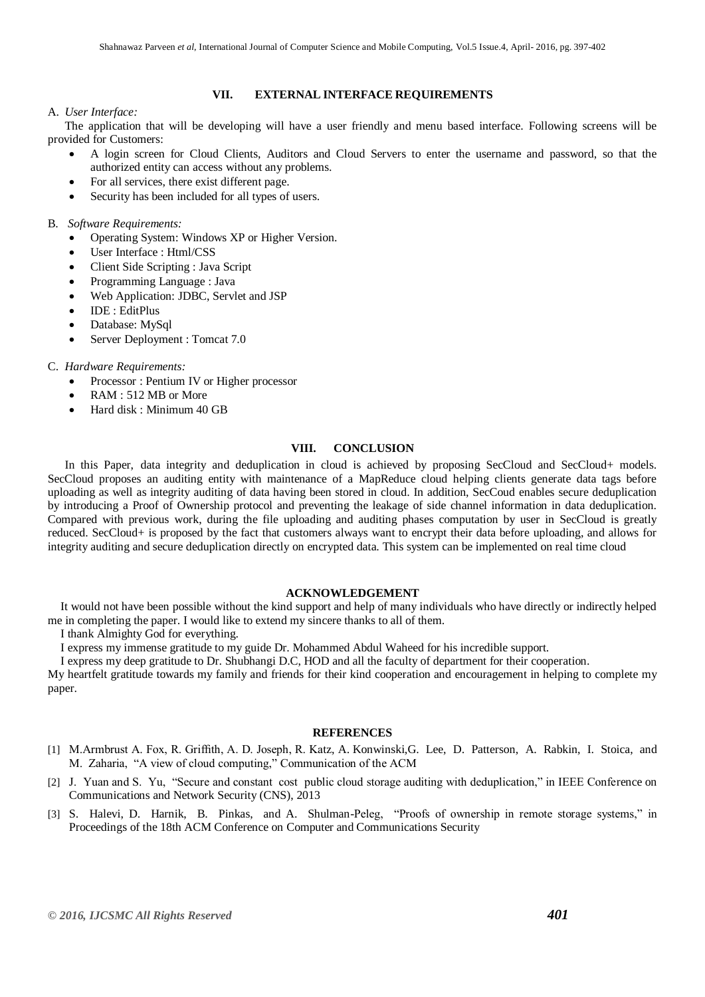# **VII. EXTERNAL INTERFACE REQUIREMENTS**

## A. *User Interface:*

The application that will be developing will have a user friendly and menu based interface. Following screens will be provided for Customers:

- A login screen for Cloud Clients, Auditors and Cloud Servers to enter the username and password, so that the authorized entity can access without any problems.
- For all services, there exist different page.
- Security has been included for all types of users.

## B. *Software Requirements:*

- Operating System: Windows XP or Higher Version.
- User Interface : Html/CSS
- Client Side Scripting : Java Script
- Programming Language : Java
- Web Application: JDBC, Servlet and JSP
- IDE : EditPlus
- Database: MySql
- Server Deployment : Tomcat 7.0

## C. *Hardware Requirements:*

- Processor : Pentium IV or Higher processor
- RAM : 512 MB or More
- Hard disk : Minimum 40 GB

## **VIII. CONCLUSION**

In this Paper, data integrity and deduplication in cloud is achieved by proposing SecCloud and SecCloud+ models. SecCloud proposes an auditing entity with maintenance of a MapReduce cloud helping clients generate data tags before uploading as well as integrity auditing of data having been stored in cloud. In addition, SecCoud enables secure deduplication by introducing a Proof of Ownership protocol and preventing the leakage of side channel information in data deduplication. Compared with previous work, during the file uploading and auditing phases computation by user in SecCloud is greatly reduced. SecCloud+ is proposed by the fact that customers always want to encrypt their data before uploading, and allows for integrity auditing and secure deduplication directly on encrypted data. This system can be implemented on real time cloud

### **ACKNOWLEDGEMENT**

It would not have been possible without the kind support and help of many individuals who have directly or indirectly helped me in completing the paper. I would like to extend my sincere thanks to all of them.

I thank Almighty God for everything.

I express my immense gratitude to my guide Dr. Mohammed Abdul Waheed for his incredible support.

I express my deep gratitude to Dr. Shubhangi D.C, HOD and all the faculty of department for their cooperation.

My heartfelt gratitude towards my family and friends for their kind cooperation and encouragement in helping to complete my paper.

## **REFERENCES**

- [1] M.Armbrust A. Fox, R. Griffith, A. D. Joseph, R. Katz, A. Konwinski,G. Lee, D. Patterson, A. Rabkin, I. Stoica, and M. Zaharia, "A view of cloud computing," Communication of the ACM
- [2] J. Yuan and S. Yu, "Secure and constant cost public cloud storage auditing with deduplication," in IEEE Conference on Communications and Network Security (CNS), 2013
- [3] S. Halevi, D. Harnik, B. Pinkas, and A. Shulman-Peleg, "Proofs of ownership in remote storage systems," in Proceedings of the 18th ACM Conference on Computer and Communications Security